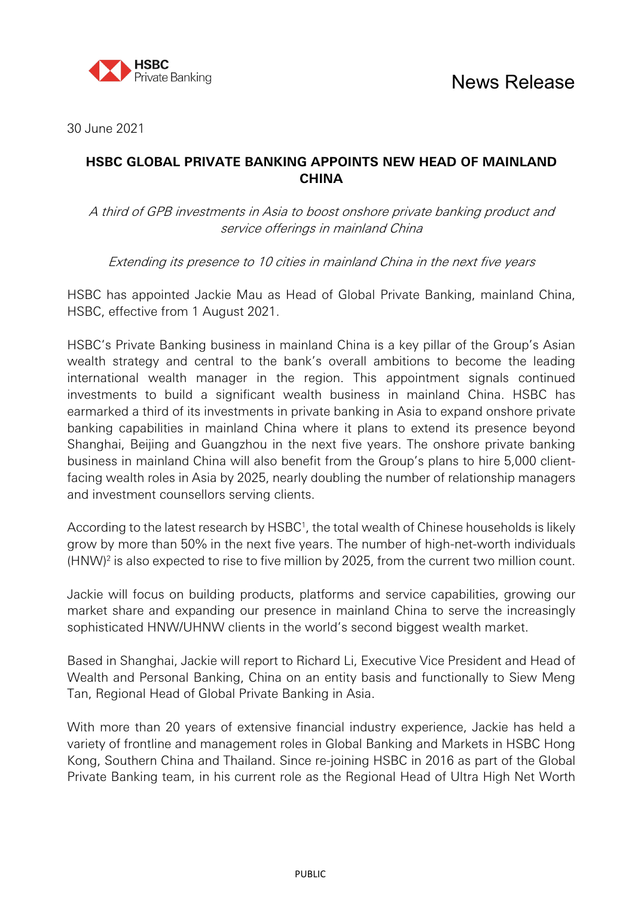

30 June 2021

# **HSBC GLOBAL PRIVATE BANKING APPOINTS NEW HEAD OF MAINLAND CHINA**

A third of GPB investments in Asia to boost onshore private banking product and service offerings in mainland China

Extending its presence to 10 cities in mainland China in the next five years

HSBC has appointed Jackie Mau as Head of Global Private Banking, mainland China, HSBC, effective from 1 August 2021.

HSBC's Private Banking business in mainland China is a key pillar of the Group's Asian wealth strategy and central to the bank's overall ambitions to become the leading international wealth manager in the region. This appointment signals continued investments to build a significant wealth business in mainland China. HSBC has earmarked a third of its investments in private banking in Asia to expand onshore private banking capabilities in mainland China where it plans to extend its presence beyond Shanghai, Beijing and Guangzhou in the next five years. The onshore private banking business in mainland China will also benefit from the Group's plans to hire 5,000 clientfacing wealth roles in Asia by 2025, nearly doubling the number of relationship managers and investment counsellors serving clients.

According to the latest research by HSBC<sup>1</sup>, the total wealth of Chinese households is likely grow by more than 50% in the next five years. The number of high-net-worth individuals  $(HNW)^2$  is also expected to rise to five million by 2025, from the current two million count.

Jackie will focus on building products, platforms and service capabilities, growing our market share and expanding our presence in mainland China to serve the increasingly sophisticated HNW/UHNW clients in the world's second biggest wealth market.

Based in Shanghai, Jackie will report to Richard Li, Executive Vice President and Head of Wealth and Personal Banking, China on an entity basis and functionally to Siew Meng Tan, Regional Head of Global Private Banking in Asia.

With more than 20 years of extensive financial industry experience, Jackie has held a variety of frontline and management roles in Global Banking and Markets in HSBC Hong Kong, Southern China and Thailand. Since re-joining HSBC in 2016 as part of the Global Private Banking team, in his current role as the Regional Head of Ultra High Net Worth